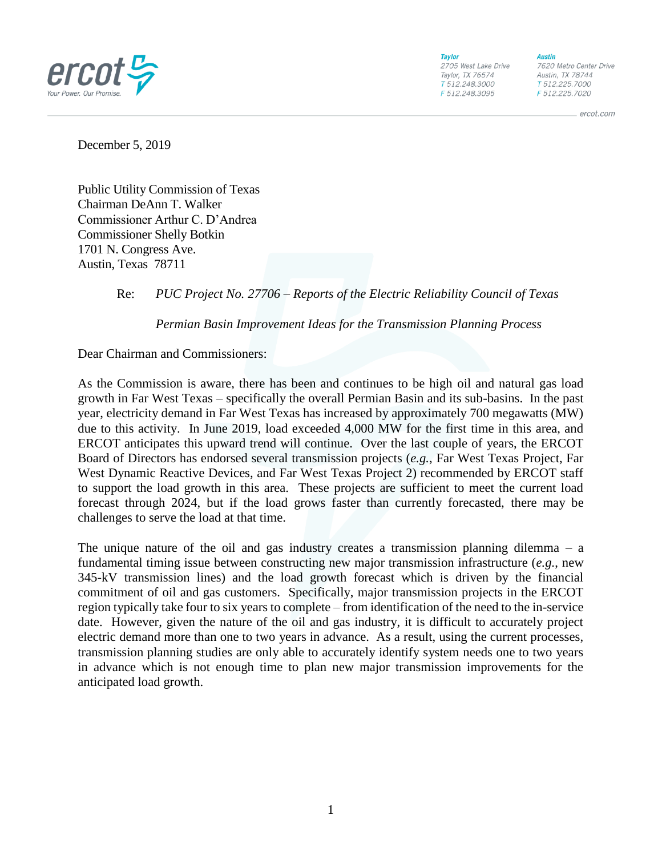

**Taylor** 2705 West Lake Drive Taylor, TX 76574 T 512.248.3000 F 512.248.3095

**Austin** 7620 Metro Center Drive Austin, TX 78744 T 512.225.7000

F 512.225.7020

ercot.com

December 5, 2019

Public Utility Commission of Texas Chairman DeAnn T. Walker Commissioner Arthur C. D'Andrea Commissioner Shelly Botkin 1701 N. Congress Ave. Austin, Texas 78711

## Re: *PUC Project No. 27706 – Reports of the Electric Reliability Council of Texas*

*Permian Basin Improvement Ideas for the Transmission Planning Process*

Dear Chairman and Commissioners:

As the Commission is aware, there has been and continues to be high oil and natural gas load growth in Far West Texas – specifically the overall Permian Basin and its sub-basins. In the past year, electricity demand in Far West Texas has increased by approximately 700 megawatts (MW) due to this activity. In June 2019, load exceeded 4,000 MW for the first time in this area, and ERCOT anticipates this upward trend will continue. Over the last couple of years, the ERCOT Board of Directors has endorsed several transmission projects (*e.g.*, Far West Texas Project, Far West Dynamic Reactive Devices, and Far West Texas Project 2) recommended by ERCOT staff to support the load growth in this area. These projects are sufficient to meet the current load forecast through 2024, but if the load grows faster than currently forecasted, there may be challenges to serve the load at that time.

The unique nature of the oil and gas industry creates a transmission planning dilemma  $-$  a fundamental timing issue between constructing new major transmission infrastructure (*e.g.*, new 345-kV transmission lines) and the load growth forecast which is driven by the financial commitment of oil and gas customers. Specifically, major transmission projects in the ERCOT region typically take four to six years to complete – from identification of the need to the in-service date. However, given the nature of the oil and gas industry, it is difficult to accurately project electric demand more than one to two years in advance. As a result, using the current processes, transmission planning studies are only able to accurately identify system needs one to two years in advance which is not enough time to plan new major transmission improvements for the anticipated load growth.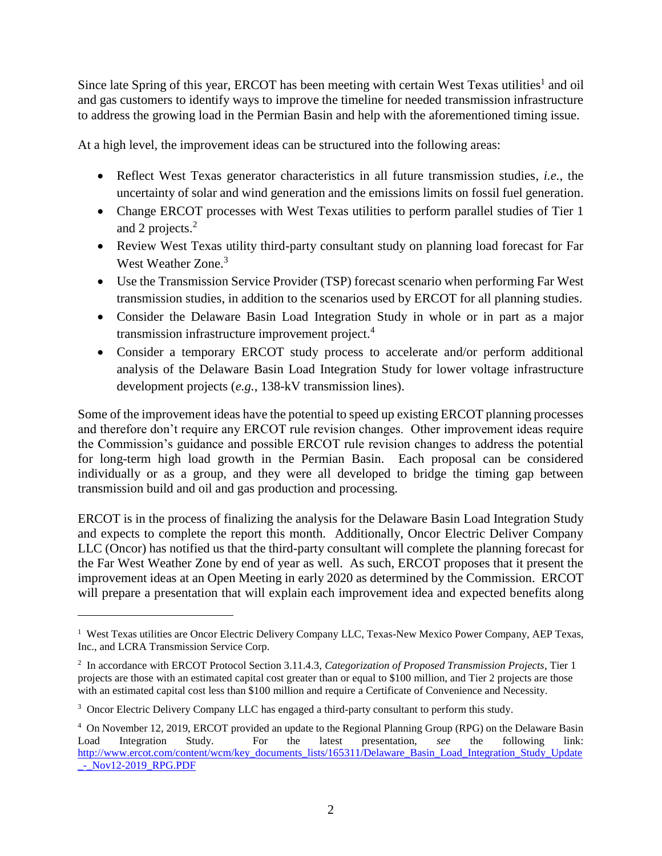Since late Spring of this year, ERCOT has been meeting with certain West Texas utilities<sup>1</sup> and oil and gas customers to identify ways to improve the timeline for needed transmission infrastructure to address the growing load in the Permian Basin and help with the aforementioned timing issue.

At a high level, the improvement ideas can be structured into the following areas:

- Reflect West Texas generator characteristics in all future transmission studies, *i.e.*, the uncertainty of solar and wind generation and the emissions limits on fossil fuel generation.
- Change ERCOT processes with West Texas utilities to perform parallel studies of Tier 1 and 2 projects.<sup>2</sup>
- Review West Texas utility third-party consultant study on planning load forecast for Far West Weather Zone.<sup>3</sup>
- Use the Transmission Service Provider (TSP) forecast scenario when performing Far West transmission studies, in addition to the scenarios used by ERCOT for all planning studies.
- Consider the Delaware Basin Load Integration Study in whole or in part as a major transmission infrastructure improvement project.<sup>4</sup>
- Consider a temporary ERCOT study process to accelerate and/or perform additional analysis of the Delaware Basin Load Integration Study for lower voltage infrastructure development projects (*e.g.*, 138-kV transmission lines).

Some of the improvement ideas have the potential to speed up existing ERCOT planning processes and therefore don't require any ERCOT rule revision changes. Other improvement ideas require the Commission's guidance and possible ERCOT rule revision changes to address the potential for long-term high load growth in the Permian Basin. Each proposal can be considered individually or as a group, and they were all developed to bridge the timing gap between transmission build and oil and gas production and processing.

ERCOT is in the process of finalizing the analysis for the Delaware Basin Load Integration Study and expects to complete the report this month. Additionally, Oncor Electric Deliver Company LLC (Oncor) has notified us that the third-party consultant will complete the planning forecast for the Far West Weather Zone by end of year as well. As such, ERCOT proposes that it present the improvement ideas at an Open Meeting in early 2020 as determined by the Commission. ERCOT will prepare a presentation that will explain each improvement idea and expected benefits along

<sup>&</sup>lt;sup>1</sup> West Texas utilities are Oncor Electric Delivery Company LLC, Texas-New Mexico Power Company, AEP Texas, Inc., and LCRA Transmission Service Corp.

<sup>2</sup> In accordance with ERCOT Protocol Section 3.11.4.3, *Categorization of Proposed Transmission Projects*, Tier 1 projects are those with an estimated capital cost greater than or equal to \$100 million, and Tier 2 projects are those with an estimated capital cost less than \$100 million and require a Certificate of Convenience and Necessity.

<sup>&</sup>lt;sup>3</sup> Oncor Electric Delivery Company LLC has engaged a third-party consultant to perform this study.

<sup>4</sup> On November 12, 2019, ERCOT provided an update to the Regional Planning Group (RPG) on the Delaware Basin Load Integration Study. For the latest presentation, *see* the following link: [http://www.ercot.com/content/wcm/key\\_documents\\_lists/165311/Delaware\\_Basin\\_Load\\_Integration\\_Study\\_Update](http://www.ercot.com/content/wcm/key_documents_lists/165311/Delaware_Basin_Load_Integration_Study_Update_-_Nov12-2019_RPG.PDF) [\\_-\\_Nov12-2019\\_RPG.PDF](http://www.ercot.com/content/wcm/key_documents_lists/165311/Delaware_Basin_Load_Integration_Study_Update_-_Nov12-2019_RPG.PDF)